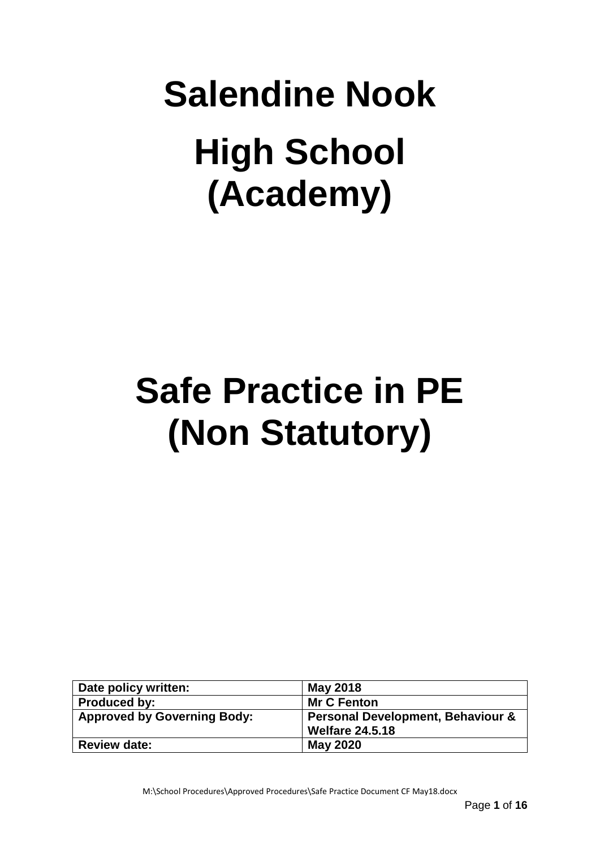# **Salendine Nook High School (Academy)**

## **Safe Practice in PE (Non Statutory)**

| Date policy written:               | <b>May 2018</b>                              |
|------------------------------------|----------------------------------------------|
| <b>Produced by:</b>                | <b>Mr C Fenton</b>                           |
| <b>Approved by Governing Body:</b> | <b>Personal Development, Behaviour &amp;</b> |
|                                    | <b>Welfare 24.5.18</b>                       |
| <b>Review date:</b>                | <b>May 2020</b>                              |

M:\School Procedures\Approved Procedures\Safe Practice Document CF May18.docx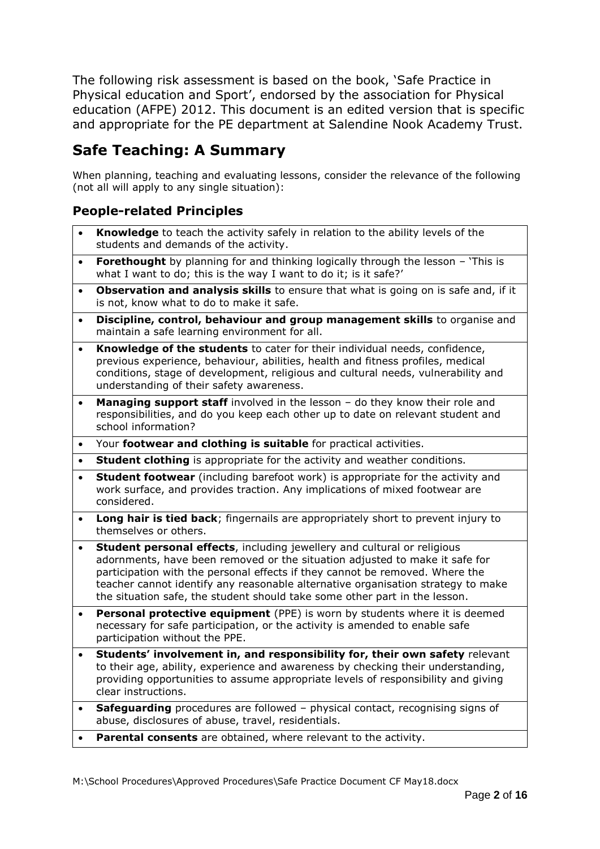The following risk assessment is based on the book, 'Safe Practice in Physical education and Sport', endorsed by the association for Physical education (AFPE) 2012. This document is an edited version that is specific and appropriate for the PE department at Salendine Nook Academy Trust.

## **Safe Teaching: A Summary**

When planning, teaching and evaluating lessons, consider the relevance of the following (not all will apply to any single situation):

#### **People-related Principles**

- **Knowledge** to teach the activity safely in relation to the ability levels of the students and demands of the activity.
- **Forethought** by planning for and thinking logically through the lesson 'This is what I want to do; this is the way I want to do it; is it safe?'
- **Observation and analysis skills** to ensure that what is going on is safe and, if it is not, know what to do to make it safe.
- **Discipline, control, behaviour and group management skills** to organise and maintain a safe learning environment for all.
- **Knowledge of the students** to cater for their individual needs, confidence, previous experience, behaviour, abilities, health and fitness profiles, medical conditions, stage of development, religious and cultural needs, vulnerability and understanding of their safety awareness.
- **Managing support staff** involved in the lesson do they know their role and responsibilities, and do you keep each other up to date on relevant student and school information?
- Your **footwear and clothing is suitable** for practical activities.
- **Student clothing** is appropriate for the activity and weather conditions.
- **Student footwear** (including barefoot work) is appropriate for the activity and work surface, and provides traction. Any implications of mixed footwear are considered.
- **Long hair is tied back**; fingernails are appropriately short to prevent injury to themselves or others.
- **Student personal effects**, including jewellery and cultural or religious adornments, have been removed or the situation adjusted to make it safe for participation with the personal effects if they cannot be removed. Where the teacher cannot identify any reasonable alternative organisation strategy to make the situation safe, the student should take some other part in the lesson.
- **Personal protective equipment** (PPE) is worn by students where it is deemed necessary for safe participation, or the activity is amended to enable safe participation without the PPE.
- **Students' involvement in, and responsibility for, their own safety** relevant to their age, ability, experience and awareness by checking their understanding, providing opportunities to assume appropriate levels of responsibility and giving clear instructions.
- **Safeguarding** procedures are followed physical contact, recognising signs of abuse, disclosures of abuse, travel, residentials.
- **Parental consents** are obtained, where relevant to the activity.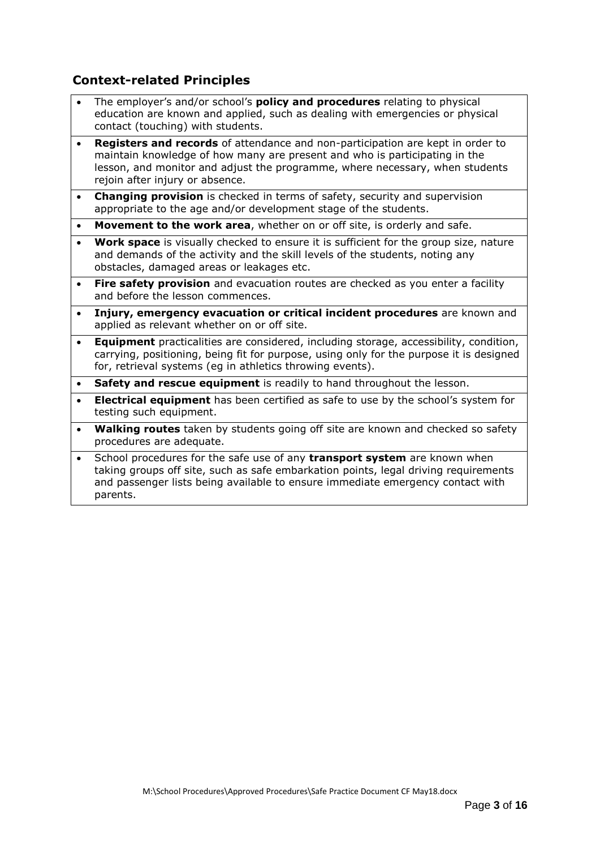#### **Context-related Principles**

- The employer's and/or school's **policy and procedures** relating to physical education are known and applied, such as dealing with emergencies or physical contact (touching) with students.
- **Registers and records** of attendance and non-participation are kept in order to maintain knowledge of how many are present and who is participating in the lesson, and monitor and adjust the programme, where necessary, when students rejoin after injury or absence.
- **Changing provision** is checked in terms of safety, security and supervision appropriate to the age and/or development stage of the students.
- **Movement to the work area**, whether on or off site, is orderly and safe.
- **Work space** is visually checked to ensure it is sufficient for the group size, nature and demands of the activity and the skill levels of the students, noting any obstacles, damaged areas or leakages etc.
- **Fire safety provision** and evacuation routes are checked as you enter a facility and before the lesson commences.
- **Injury, emergency evacuation or critical incident procedures** are known and applied as relevant whether on or off site.
- **Equipment** practicalities are considered, including storage, accessibility, condition, carrying, positioning, being fit for purpose, using only for the purpose it is designed for, retrieval systems (eg in athletics throwing events).
- **Safety and rescue equipment** is readily to hand throughout the lesson.
- **Electrical equipment** has been certified as safe to use by the school's system for testing such equipment.
- **Walking routes** taken by students going off site are known and checked so safety procedures are adequate.
- School procedures for the safe use of any **transport system** are known when taking groups off site, such as safe embarkation points, legal driving requirements and passenger lists being available to ensure immediate emergency contact with parents.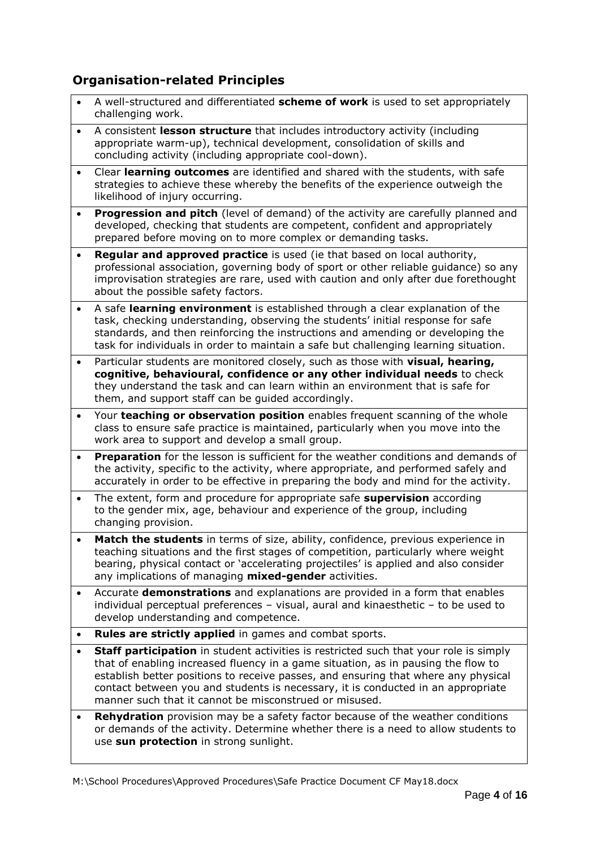#### **Organisation-related Principles**

- A well-structured and differentiated **scheme of work** is used to set appropriately challenging work.
- A consistent **lesson structure** that includes introductory activity (including appropriate warm-up), technical development, consolidation of skills and concluding activity (including appropriate cool-down).
- Clear **learning outcomes** are identified and shared with the students, with safe strategies to achieve these whereby the benefits of the experience outweigh the likelihood of injury occurring.
- **Progression and pitch** (level of demand) of the activity are carefully planned and developed, checking that students are competent, confident and appropriately prepared before moving on to more complex or demanding tasks.
- **Regular and approved practice** is used (ie that based on local authority, professional association, governing body of sport or other reliable guidance) so any improvisation strategies are rare, used with caution and only after due forethought about the possible safety factors.
- A safe **learning environment** is established through a clear explanation of the task, checking understanding, observing the students' initial response for safe standards, and then reinforcing the instructions and amending or developing the task for individuals in order to maintain a safe but challenging learning situation.
- Particular students are monitored closely, such as those with **visual, hearing, cognitive, behavioural, confidence or any other individual needs** to check they understand the task and can learn within an environment that is safe for them, and support staff can be guided accordingly.
- Your **teaching or observation position** enables frequent scanning of the whole class to ensure safe practice is maintained, particularly when you move into the work area to support and develop a small group.
- **Preparation** for the lesson is sufficient for the weather conditions and demands of the activity, specific to the activity, where appropriate, and performed safely and accurately in order to be effective in preparing the body and mind for the activity.
- The extent, form and procedure for appropriate safe **supervision** according to the gender mix, age, behaviour and experience of the group, including changing provision.
- **Match the students** in terms of size, ability, confidence, previous experience in teaching situations and the first stages of competition, particularly where weight bearing, physical contact or 'accelerating projectiles' is applied and also consider any implications of managing **mixed-gender** activities.
- Accurate **demonstrations** and explanations are provided in a form that enables individual perceptual preferences – visual, aural and kinaesthetic – to be used to develop understanding and competence.
- **Rules are strictly applied** in games and combat sports.
- **Staff participation** in student activities is restricted such that your role is simply that of enabling increased fluency in a game situation, as in pausing the flow to establish better positions to receive passes, and ensuring that where any physical contact between you and students is necessary, it is conducted in an appropriate manner such that it cannot be misconstrued or misused.
- **Rehydration** provision may be a safety factor because of the weather conditions or demands of the activity. Determine whether there is a need to allow students to use **sun protection** in strong sunlight.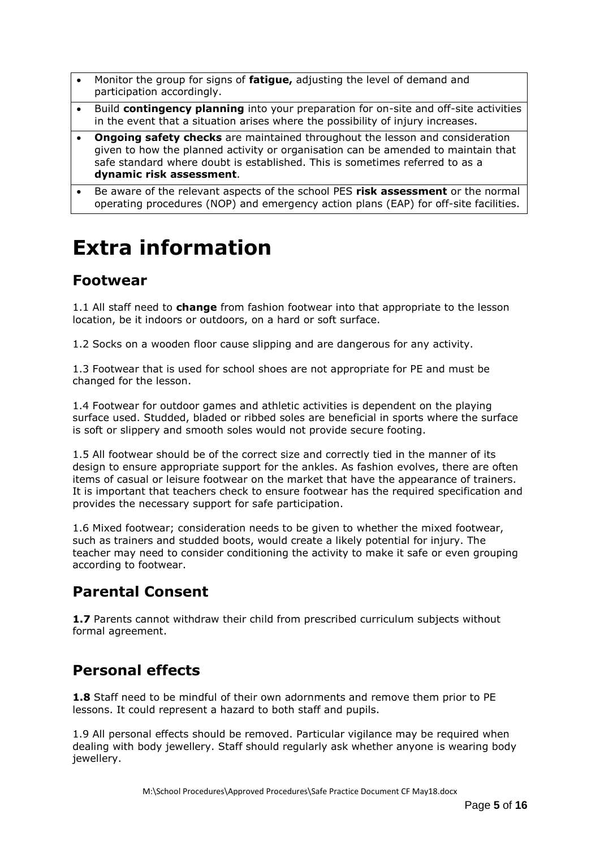- Monitor the group for signs of **fatigue,** adjusting the level of demand and participation accordingly.
- **•** Build **contingency planning** into your preparation for on-site and off-site activities in the event that a situation arises where the possibility of injury increases.
- **Ongoing safety checks** are maintained throughout the lesson and consideration given to how the planned activity or organisation can be amended to maintain that safe standard where doubt is established. This is sometimes referred to as a **dynamic risk assessment**.
- Be aware of the relevant aspects of the school PES **risk assessment** or the normal operating procedures (NOP) and emergency action plans (EAP) for off-site facilities.

## **Extra information**

### **Footwear**

1.1 All staff need to **change** from fashion footwear into that appropriate to the lesson location, be it indoors or outdoors, on a hard or soft surface.

1.2 Socks on a wooden floor cause slipping and are dangerous for any activity.

1.3 Footwear that is used for school shoes are not appropriate for PE and must be changed for the lesson.

1.4 Footwear for outdoor games and athletic activities is dependent on the playing surface used. Studded, bladed or ribbed soles are beneficial in sports where the surface is soft or slippery and smooth soles would not provide secure footing.

1.5 All footwear should be of the correct size and correctly tied in the manner of its design to ensure appropriate support for the ankles. As fashion evolves, there are often items of casual or leisure footwear on the market that have the appearance of trainers. It is important that teachers check to ensure footwear has the required specification and provides the necessary support for safe participation.

1.6 Mixed footwear; consideration needs to be given to whether the mixed footwear, such as trainers and studded boots, would create a likely potential for injury. The teacher may need to consider conditioning the activity to make it safe or even grouping according to footwear.

## **Parental Consent**

**1.7** Parents cannot withdraw their child from prescribed curriculum subjects without formal agreement.

## **Personal effects**

**1.8** Staff need to be mindful of their own adornments and remove them prior to PE lessons. It could represent a hazard to both staff and pupils.

1.9 All personal effects should be removed. Particular vigilance may be required when dealing with body jewellery. Staff should regularly ask whether anyone is wearing body iewellerv.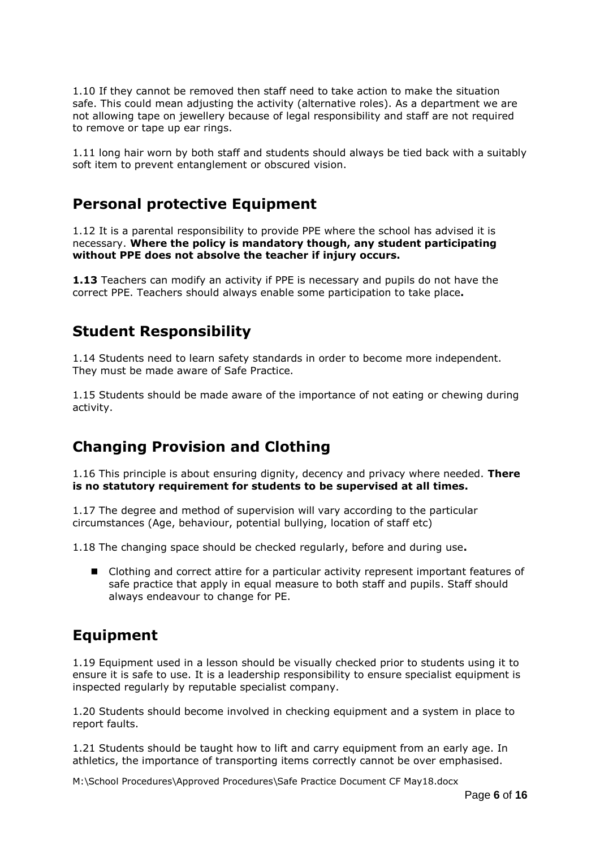1.10 If they cannot be removed then staff need to take action to make the situation safe. This could mean adjusting the activity (alternative roles). As a department we are not allowing tape on jewellery because of legal responsibility and staff are not required to remove or tape up ear rings.

1.11 long hair worn by both staff and students should always be tied back with a suitably soft item to prevent entanglement or obscured vision.

#### **Personal protective Equipment**

1.12 It is a parental responsibility to provide PPE where the school has advised it is necessary. **Where the policy is mandatory though, any student participating without PPE does not absolve the teacher if injury occurs.**

**1.13** Teachers can modify an activity if PPE is necessary and pupils do not have the correct PPE. Teachers should always enable some participation to take place**.**

#### **Student Responsibility**

1.14 Students need to learn safety standards in order to become more independent. They must be made aware of Safe Practice.

1.15 Students should be made aware of the importance of not eating or chewing during activity.

## **Changing Provision and Clothing**

1.16 This principle is about ensuring dignity, decency and privacy where needed. **There is no statutory requirement for students to be supervised at all times.**

1.17 The degree and method of supervision will vary according to the particular circumstances (Age, behaviour, potential bullying, location of staff etc)

1.18 The changing space should be checked regularly, before and during use**.**

■ Clothing and correct attire for a particular activity represent important features of safe practice that apply in equal measure to both staff and pupils. Staff should always endeavour to change for PE.

## **Equipment**

1.19 Equipment used in a lesson should be visually checked prior to students using it to ensure it is safe to use. It is a leadership responsibility to ensure specialist equipment is inspected regularly by reputable specialist company.

1.20 Students should become involved in checking equipment and a system in place to report faults.

1.21 Students should be taught how to lift and carry equipment from an early age. In athletics, the importance of transporting items correctly cannot be over emphasised.

M:\School Procedures\Approved Procedures\Safe Practice Document CF May18.docx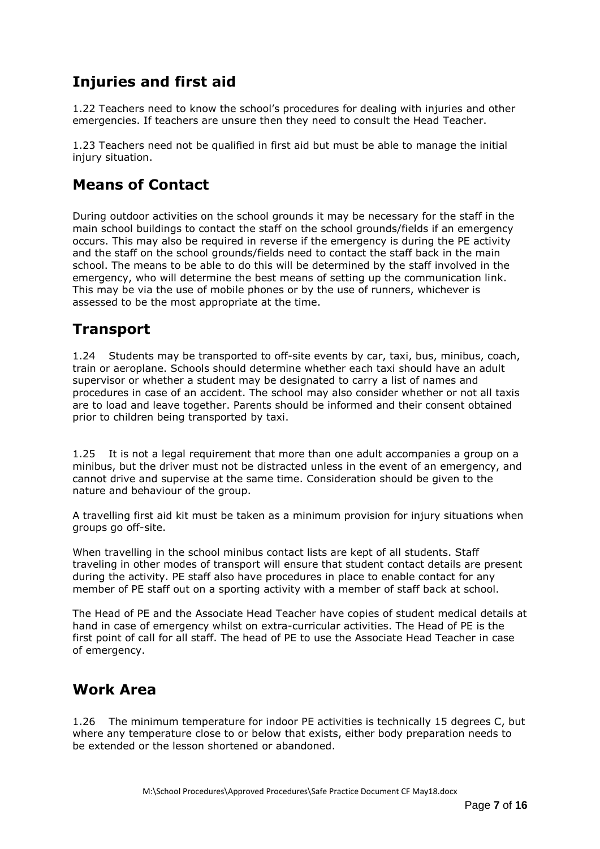## **Injuries and first aid**

1.22 Teachers need to know the school's procedures for dealing with injuries and other emergencies. If teachers are unsure then they need to consult the Head Teacher.

1.23 Teachers need not be qualified in first aid but must be able to manage the initial injury situation.

## **Means of Contact**

During outdoor activities on the school grounds it may be necessary for the staff in the main school buildings to contact the staff on the school grounds/fields if an emergency occurs. This may also be required in reverse if the emergency is during the PE activity and the staff on the school grounds/fields need to contact the staff back in the main school. The means to be able to do this will be determined by the staff involved in the emergency, who will determine the best means of setting up the communication link. This may be via the use of mobile phones or by the use of runners, whichever is assessed to be the most appropriate at the time.

## **Transport**

1.24 Students may be transported to off-site events by car, taxi, bus, minibus, coach, train or aeroplane. Schools should determine whether each taxi should have an adult supervisor or whether a student may be designated to carry a list of names and procedures in case of an accident. The school may also consider whether or not all taxis are to load and leave together. Parents should be informed and their consent obtained prior to children being transported by taxi.

1.25 It is not a legal requirement that more than one adult accompanies a group on a minibus, but the driver must not be distracted unless in the event of an emergency, and cannot drive and supervise at the same time. Consideration should be given to the nature and behaviour of the group.

A travelling first aid kit must be taken as a minimum provision for injury situations when groups go off-site.

When travelling in the school minibus contact lists are kept of all students. Staff traveling in other modes of transport will ensure that student contact details are present during the activity. PE staff also have procedures in place to enable contact for any member of PE staff out on a sporting activity with a member of staff back at school.

The Head of PE and the Associate Head Teacher have copies of student medical details at hand in case of emergency whilst on extra-curricular activities. The Head of PE is the first point of call for all staff. The head of PE to use the Associate Head Teacher in case of emergency.

#### **Work Area**

1.26 The minimum temperature for indoor PE activities is technically 15 degrees C, but where any temperature close to or below that exists, either body preparation needs to be extended or the lesson shortened or abandoned.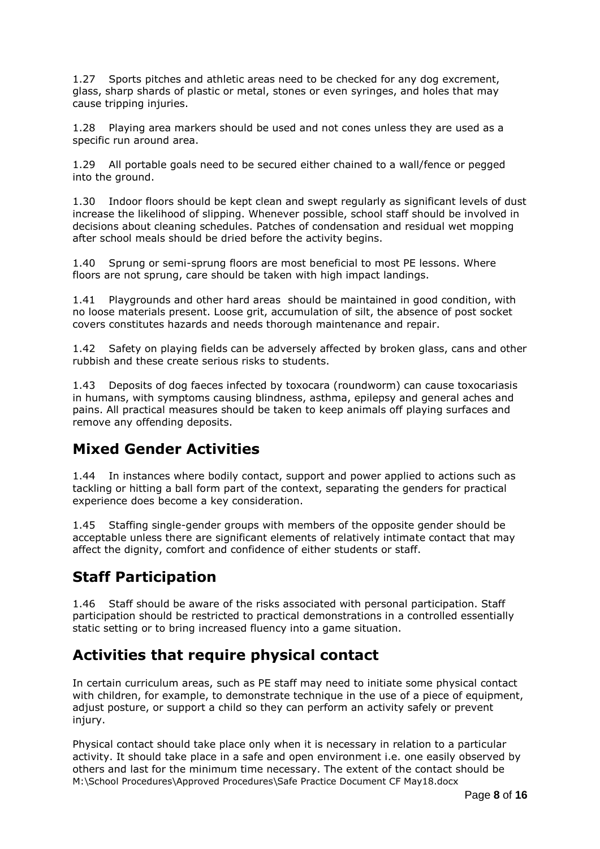1.27 Sports pitches and athletic areas need to be checked for any dog excrement, glass, sharp shards of plastic or metal, stones or even syringes, and holes that may cause tripping injuries.

1.28 Playing area markers should be used and not cones unless they are used as a specific run around area.

1.29 All portable goals need to be secured either chained to a wall/fence or pegged into the ground.

1.30 Indoor floors should be kept clean and swept regularly as significant levels of dust increase the likelihood of slipping. Whenever possible, school staff should be involved in decisions about cleaning schedules. Patches of condensation and residual wet mopping after school meals should be dried before the activity begins.

1.40 Sprung or semi-sprung floors are most beneficial to most PE lessons. Where floors are not sprung, care should be taken with high impact landings.

1.41 Playgrounds and other hard areas should be maintained in good condition, with no loose materials present. Loose grit, accumulation of silt, the absence of post socket covers constitutes hazards and needs thorough maintenance and repair.

1.42 Safety on playing fields can be adversely affected by broken glass, cans and other rubbish and these create serious risks to students.

1.43 Deposits of dog faeces infected by toxocara (roundworm) can cause toxocariasis in humans, with symptoms causing blindness, asthma, epilepsy and general aches and pains. All practical measures should be taken to keep animals off playing surfaces and remove any offending deposits.

#### **Mixed Gender Activities**

1.44 In instances where bodily contact, support and power applied to actions such as tackling or hitting a ball form part of the context, separating the genders for practical experience does become a key consideration.

1.45 Staffing single-gender groups with members of the opposite gender should be acceptable unless there are significant elements of relatively intimate contact that may affect the dignity, comfort and confidence of either students or staff.

## **Staff Participation**

1.46 Staff should be aware of the risks associated with personal participation. Staff participation should be restricted to practical demonstrations in a controlled essentially static setting or to bring increased fluency into a game situation.

#### **Activities that require physical contact**

In certain curriculum areas, such as PE staff may need to initiate some physical contact with children, for example, to demonstrate technique in the use of a piece of equipment, adjust posture, or support a child so they can perform an activity safely or prevent injury.

M:\School Procedures\Approved Procedures\Safe Practice Document CF May18.docx Physical contact should take place only when it is necessary in relation to a particular activity. It should take place in a safe and open environment i.e. one easily observed by others and last for the minimum time necessary. The extent of the contact should be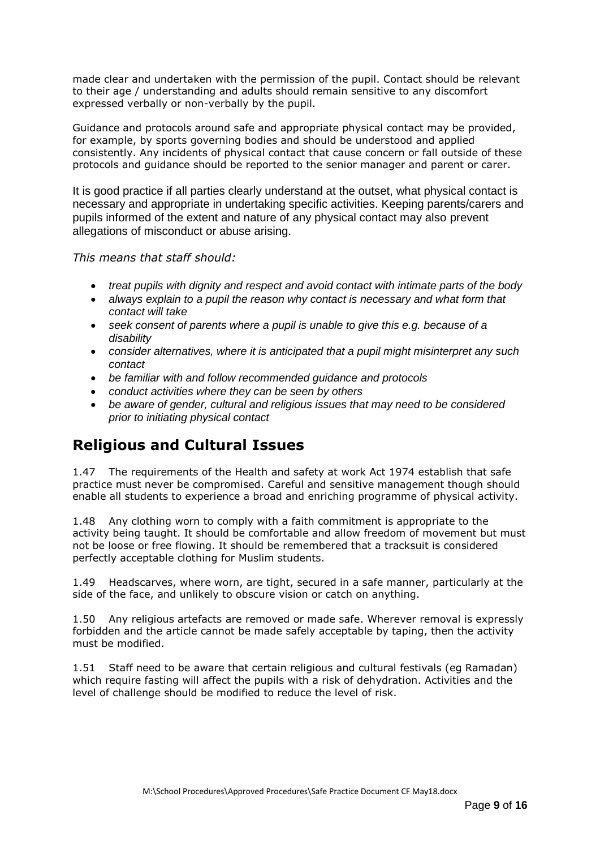made clear and undertaken with the permission of the pupil. Contact should be relevant to their age / understanding and adults should remain sensitive to any discomfort expressed verbally or non-verbally by the pupil.

Guidance and protocols around safe and appropriate physical contact may be provided, for example, by sports governing bodies and should be understood and applied consistently. Any incidents of physical contact that cause concern or fall outside of these protocols and guidance should be reported to the senior manager and parent or carer.

It is good practice if all parties clearly understand at the outset, what physical contact is necessary and appropriate in undertaking specific activities. Keeping parents/carers and pupils informed of the extent and nature of any physical contact may also prevent allegations of misconduct or abuse arising.

*This means that staff should:*

- *treat pupils with dignity and respect and avoid contact with intimate parts of the body*
- *always explain to a pupil the reason why contact is necessary and what form that contact will take*
- *seek consent of parents where a pupil is unable to give this e.g. because of a disability*
- *consider alternatives, where it is anticipated that a pupil might misinterpret any such contact*
- *be familiar with and follow recommended guidance and protocols*
- *conduct activities where they can be seen by others*
- *be aware of gender, cultural and religious issues that may need to be considered prior to initiating physical contact*

## **Religious and Cultural Issues**

1.47 The requirements of the Health and safety at work Act 1974 establish that safe practice must never be compromised. Careful and sensitive management though should enable all students to experience a broad and enriching programme of physical activity.

1.48 Any clothing worn to comply with a faith commitment is appropriate to the activity being taught. It should be comfortable and allow freedom of movement but must not be loose or free flowing. It should be remembered that a tracksuit is considered perfectly acceptable clothing for Muslim students.

1.49 Headscarves, where worn, are tight, secured in a safe manner, particularly at the side of the face, and unlikely to obscure vision or catch on anything.

1.50 Any religious artefacts are removed or made safe. Wherever removal is expressly forbidden and the article cannot be made safely acceptable by taping, then the activity must be modified.

1.51 Staff need to be aware that certain religious and cultural festivals (eg Ramadan) which require fasting will affect the pupils with a risk of dehydration. Activities and the level of challenge should be modified to reduce the level of risk.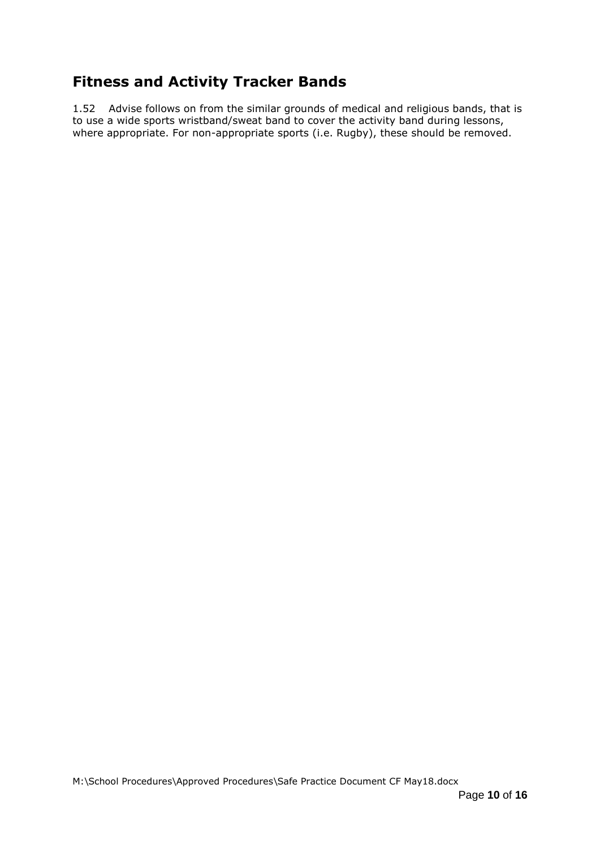## **Fitness and Activity Tracker Bands**

1.52 Advise follows on from the similar grounds of medical and religious bands, that is to use a wide sports wristband/sweat band to cover the activity band during lessons, where appropriate. For non-appropriate sports (i.e. Rugby), these should be removed.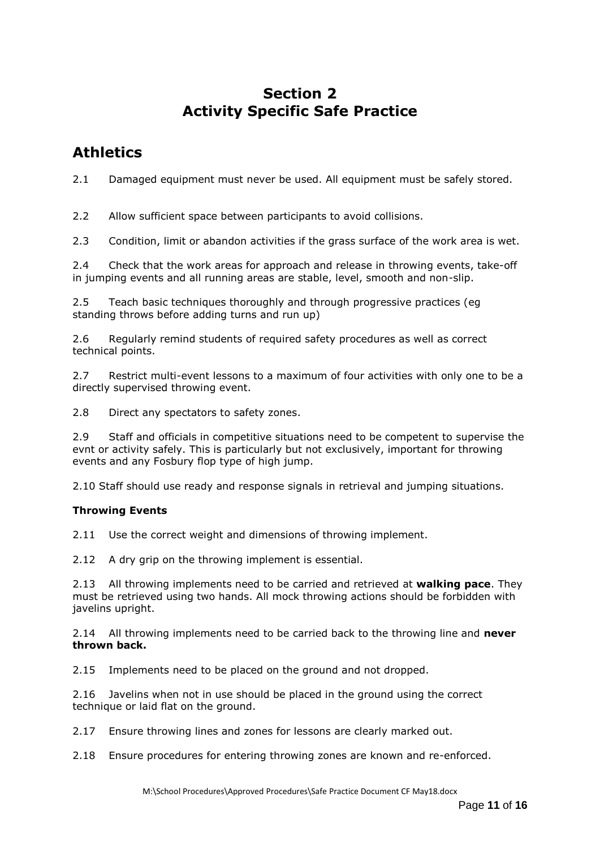#### **Section 2 Activity Specific Safe Practice**

### **Athletics**

2.1 Damaged equipment must never be used. All equipment must be safely stored.

2.2 Allow sufficient space between participants to avoid collisions.

2.3 Condition, limit or abandon activities if the grass surface of the work area is wet.

2.4 Check that the work areas for approach and release in throwing events, take-off in jumping events and all running areas are stable, level, smooth and non-slip.

2.5 Teach basic techniques thoroughly and through progressive practices (eg standing throws before adding turns and run up)

2.6 Regularly remind students of required safety procedures as well as correct technical points.

2.7 Restrict multi-event lessons to a maximum of four activities with only one to be a directly supervised throwing event.

2.8 Direct any spectators to safety zones.

2.9 Staff and officials in competitive situations need to be competent to supervise the evnt or activity safely. This is particularly but not exclusively, important for throwing events and any Fosbury flop type of high jump.

2.10 Staff should use ready and response signals in retrieval and jumping situations.

#### **Throwing Events**

2.11 Use the correct weight and dimensions of throwing implement.

2.12 A dry grip on the throwing implement is essential.

2.13 All throwing implements need to be carried and retrieved at **walking pace**. They must be retrieved using two hands. All mock throwing actions should be forbidden with javelins upright.

2.14 All throwing implements need to be carried back to the throwing line and **never thrown back.**

2.15 Implements need to be placed on the ground and not dropped.

2.16 Javelins when not in use should be placed in the ground using the correct technique or laid flat on the ground.

2.17 Ensure throwing lines and zones for lessons are clearly marked out.

2.18 Ensure procedures for entering throwing zones are known and re-enforced.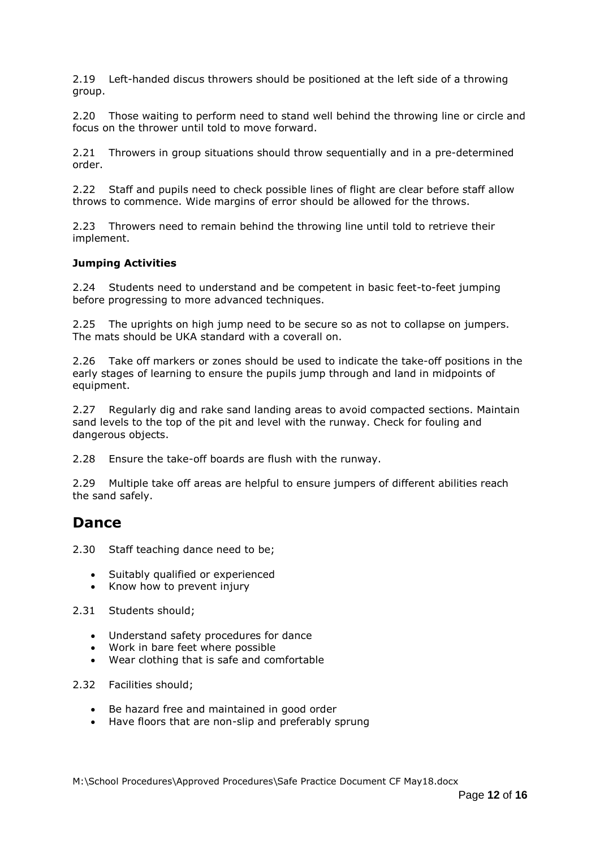2.19 Left-handed discus throwers should be positioned at the left side of a throwing group.

2.20 Those waiting to perform need to stand well behind the throwing line or circle and focus on the thrower until told to move forward.

2.21 Throwers in group situations should throw sequentially and in a pre-determined order.

2.22 Staff and pupils need to check possible lines of flight are clear before staff allow throws to commence. Wide margins of error should be allowed for the throws.

2.23 Throwers need to remain behind the throwing line until told to retrieve their implement.

#### **Jumping Activities**

2.24 Students need to understand and be competent in basic feet-to-feet jumping before progressing to more advanced techniques.

2.25 The uprights on high jump need to be secure so as not to collapse on jumpers. The mats should be UKA standard with a coverall on.

2.26 Take off markers or zones should be used to indicate the take-off positions in the early stages of learning to ensure the pupils jump through and land in midpoints of equipment.

2.27 Regularly dig and rake sand landing areas to avoid compacted sections. Maintain sand levels to the top of the pit and level with the runway. Check for fouling and dangerous objects.

2.28 Ensure the take-off boards are flush with the runway.

2.29 Multiple take off areas are helpful to ensure jumpers of different abilities reach the sand safely.

#### **Dance**

- 2.30 Staff teaching dance need to be;
	- Suitably qualified or experienced
	- Know how to prevent injury
- 2.31 Students should;
	- Understand safety procedures for dance
	- Work in bare feet where possible
	- Wear clothing that is safe and comfortable
- 2.32 Facilities should;
	- Be hazard free and maintained in good order
	- Have floors that are non-slip and preferably sprung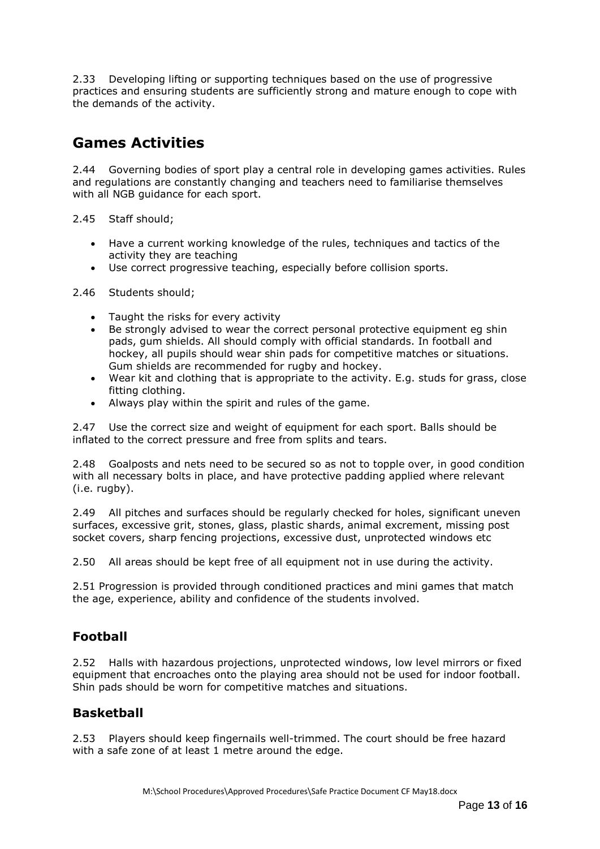2.33 Developing lifting or supporting techniques based on the use of progressive practices and ensuring students are sufficiently strong and mature enough to cope with the demands of the activity.

### **Games Activities**

2.44 Governing bodies of sport play a central role in developing games activities. Rules and regulations are constantly changing and teachers need to familiarise themselves with all NGB guidance for each sport.

2.45 Staff should;

- Have a current working knowledge of the rules, techniques and tactics of the activity they are teaching
- Use correct progressive teaching, especially before collision sports.

2.46 Students should;

- Taught the risks for every activity
- Be strongly advised to wear the correct personal protective equipment eg shin pads, gum shields. All should comply with official standards. In football and hockey, all pupils should wear shin pads for competitive matches or situations. Gum shields are recommended for rugby and hockey.
- Wear kit and clothing that is appropriate to the activity. E.g. studs for grass, close fitting clothing.
- Always play within the spirit and rules of the game.

2.47 Use the correct size and weight of equipment for each sport. Balls should be inflated to the correct pressure and free from splits and tears.

2.48 Goalposts and nets need to be secured so as not to topple over, in good condition with all necessary bolts in place, and have protective padding applied where relevant (i.e. rugby).

2.49 All pitches and surfaces should be regularly checked for holes, significant uneven surfaces, excessive grit, stones, glass, plastic shards, animal excrement, missing post socket covers, sharp fencing projections, excessive dust, unprotected windows etc

2.50 All areas should be kept free of all equipment not in use during the activity.

2.51 Progression is provided through conditioned practices and mini games that match the age, experience, ability and confidence of the students involved.

#### **Football**

2.52 Halls with hazardous projections, unprotected windows, low level mirrors or fixed equipment that encroaches onto the playing area should not be used for indoor football. Shin pads should be worn for competitive matches and situations.

#### **Basketball**

2.53 Players should keep fingernails well-trimmed. The court should be free hazard with a safe zone of at least 1 metre around the edge.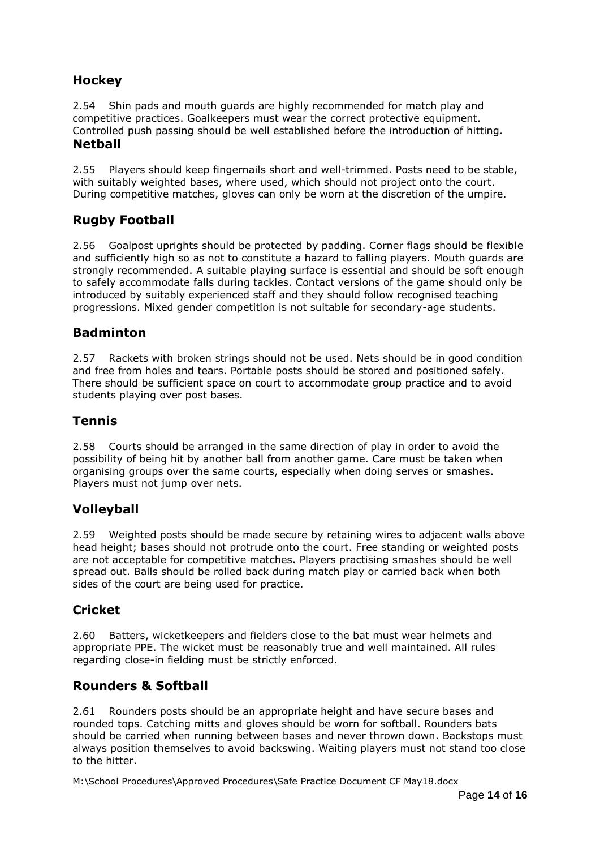#### **Hockey**

2.54 Shin pads and mouth guards are highly recommended for match play and competitive practices. Goalkeepers must wear the correct protective equipment. Controlled push passing should be well established before the introduction of hitting. **Netball**

2.55 Players should keep fingernails short and well-trimmed. Posts need to be stable, with suitably weighted bases, where used, which should not project onto the court. During competitive matches, gloves can only be worn at the discretion of the umpire.

#### **Rugby Football**

2.56 Goalpost uprights should be protected by padding. Corner flags should be flexible and sufficiently high so as not to constitute a hazard to falling players. Mouth guards are strongly recommended. A suitable playing surface is essential and should be soft enough to safely accommodate falls during tackles. Contact versions of the game should only be introduced by suitably experienced staff and they should follow recognised teaching progressions. Mixed gender competition is not suitable for secondary-age students.

#### **Badminton**

2.57 Rackets with broken strings should not be used. Nets should be in good condition and free from holes and tears. Portable posts should be stored and positioned safely. There should be sufficient space on court to accommodate group practice and to avoid students playing over post bases.

#### **Tennis**

2.58 Courts should be arranged in the same direction of play in order to avoid the possibility of being hit by another ball from another game. Care must be taken when organising groups over the same courts, especially when doing serves or smashes. Players must not jump over nets.

#### **Volleyball**

2.59 Weighted posts should be made secure by retaining wires to adjacent walls above head height; bases should not protrude onto the court. Free standing or weighted posts are not acceptable for competitive matches. Players practising smashes should be well spread out. Balls should be rolled back during match play or carried back when both sides of the court are being used for practice.

#### **Cricket**

2.60 Batters, wicketkeepers and fielders close to the bat must wear helmets and appropriate PPE. The wicket must be reasonably true and well maintained. All rules regarding close-in fielding must be strictly enforced.

#### **Rounders & Softball**

2.61 Rounders posts should be an appropriate height and have secure bases and rounded tops. Catching mitts and gloves should be worn for softball. Rounders bats should be carried when running between bases and never thrown down. Backstops must always position themselves to avoid backswing. Waiting players must not stand too close to the hitter.

M:\School Procedures\Approved Procedures\Safe Practice Document CF May18.docx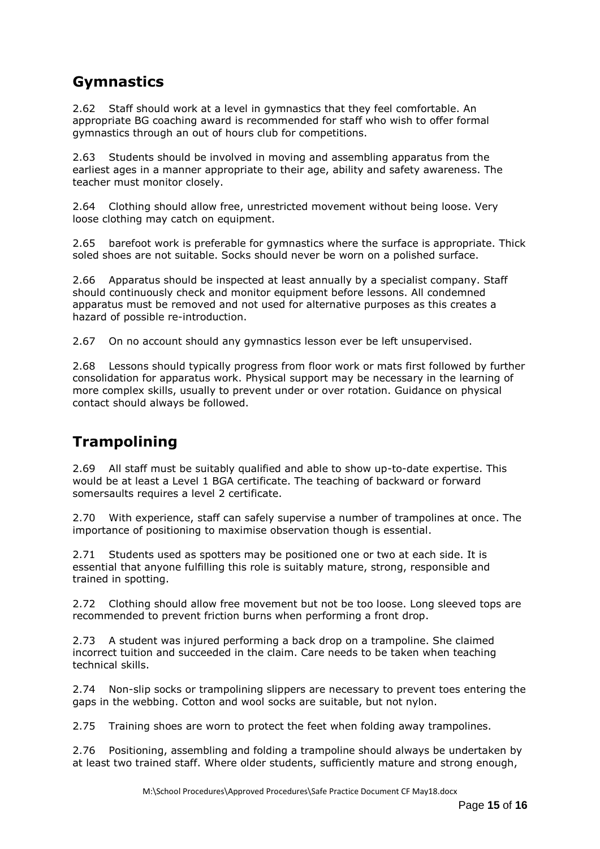## **Gymnastics**

2.62 Staff should work at a level in gymnastics that they feel comfortable. An appropriate BG coaching award is recommended for staff who wish to offer formal gymnastics through an out of hours club for competitions.

2.63 Students should be involved in moving and assembling apparatus from the earliest ages in a manner appropriate to their age, ability and safety awareness. The teacher must monitor closely.

2.64 Clothing should allow free, unrestricted movement without being loose. Very loose clothing may catch on equipment.

2.65 barefoot work is preferable for gymnastics where the surface is appropriate. Thick soled shoes are not suitable. Socks should never be worn on a polished surface.

2.66 Apparatus should be inspected at least annually by a specialist company. Staff should continuously check and monitor equipment before lessons. All condemned apparatus must be removed and not used for alternative purposes as this creates a hazard of possible re-introduction.

2.67 On no account should any gymnastics lesson ever be left unsupervised.

2.68 Lessons should typically progress from floor work or mats first followed by further consolidation for apparatus work. Physical support may be necessary in the learning of more complex skills, usually to prevent under or over rotation. Guidance on physical contact should always be followed.

#### **Trampolining**

2.69 All staff must be suitably qualified and able to show up-to-date expertise. This would be at least a Level 1 BGA certificate. The teaching of backward or forward somersaults requires a level 2 certificate.

2.70 With experience, staff can safely supervise a number of trampolines at once. The importance of positioning to maximise observation though is essential.

2.71 Students used as spotters may be positioned one or two at each side. It is essential that anyone fulfilling this role is suitably mature, strong, responsible and trained in spotting.

2.72 Clothing should allow free movement but not be too loose. Long sleeved tops are recommended to prevent friction burns when performing a front drop.

2.73 A student was injured performing a back drop on a trampoline. She claimed incorrect tuition and succeeded in the claim. Care needs to be taken when teaching technical skills.

2.74 Non-slip socks or trampolining slippers are necessary to prevent toes entering the gaps in the webbing. Cotton and wool socks are suitable, but not nylon.

2.75 Training shoes are worn to protect the feet when folding away trampolines.

2.76 Positioning, assembling and folding a trampoline should always be undertaken by at least two trained staff. Where older students, sufficiently mature and strong enough,